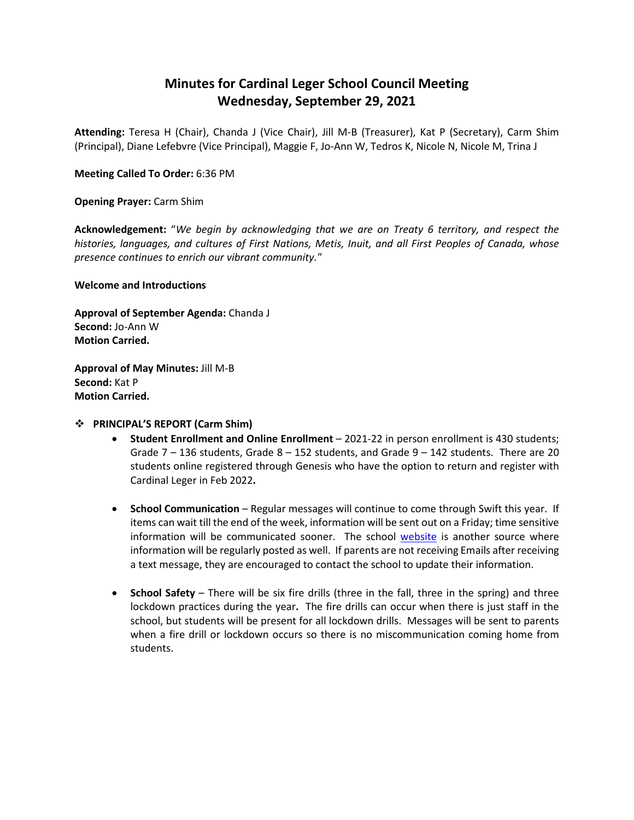## **Minutes for Cardinal Leger School Council Meeting Wednesday, September 29, 2021**

**Attending:** Teresa H (Chair), Chanda J (Vice Chair), Jill M-B (Treasurer), Kat P (Secretary), Carm Shim (Principal), Diane Lefebvre (Vice Principal), Maggie F, Jo-Ann W, Tedros K, Nicole N, Nicole M, Trina J

#### **Meeting Called To Order:** 6:36 PM

**Opening Prayer:** Carm Shim

**Acknowledgement:** "*We begin by acknowledging that we are on Treaty 6 territory, and respect the histories, languages, and cultures of First Nations, Metis, Inuit, and all First Peoples of Canada, whose presence continues to enrich our vibrant community."*

**Welcome and Introductions**

**Approval of September Agenda:** Chanda J **Second:** Jo-Ann W **Motion Carried.**

**Approval of May Minutes:** Jill M-B **Second:** Kat P **Motion Carried.**

#### **PRINCIPAL'S REPORT (Carm Shim)**

- **Student Enrollment and Online Enrollment** 2021-22 in person enrollment is 430 students; Grade  $7 - 136$  students, Grade  $8 - 152$  students, and Grade  $9 - 142$  students. There are 20 students online registered through Genesis who have the option to return and register with Cardinal Leger in Feb 2022**.**
- **School Communication** Regular messages will continue to come through Swift this year. If items can wait till the end of the week, information will be sent out on a Friday; time sensitive information will be communicated sooner. The school [website](https://www.ecsd.net/8287) is another source where information will be regularly posted as well. If parents are not receiving Emails after receiving a text message, they are encouraged to contact the school to update their information.
- **School Safety** There will be six fire drills (three in the fall, three in the spring) and three lockdown practices during the year**.** The fire drills can occur when there is just staff in the school, but students will be present for all lockdown drills. Messages will be sent to parents when a fire drill or lockdown occurs so there is no miscommunication coming home from students.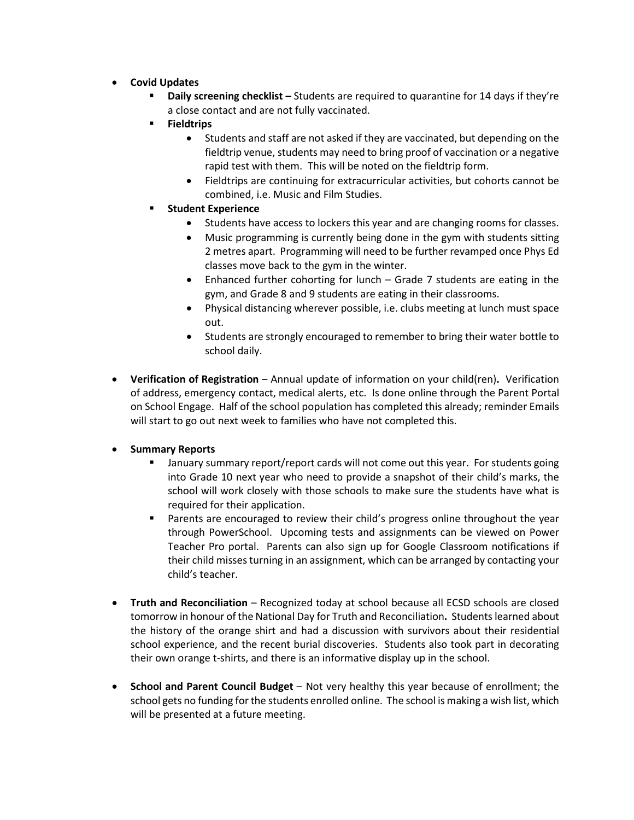- **Covid Updates**
	- **Daily screening checklist –** Students are required to quarantine for 14 days if they're a close contact and are not fully vaccinated.
	- **Fieldtrips**
		- Students and staff are not asked if they are vaccinated, but depending on the fieldtrip venue, students may need to bring proof of vaccination or a negative rapid test with them. This will be noted on the fieldtrip form.
		- Fieldtrips are continuing for extracurricular activities, but cohorts cannot be combined, i.e. Music and Film Studies.
	- **Student Experience**
		- Students have access to lockers this year and are changing rooms for classes.
		- Music programming is currently being done in the gym with students sitting 2 metres apart. Programming will need to be further revamped once Phys Ed classes move back to the gym in the winter.
		- Enhanced further cohorting for lunch Grade 7 students are eating in the gym, and Grade 8 and 9 students are eating in their classrooms.
		- Physical distancing wherever possible, i.e. clubs meeting at lunch must space out.
		- Students are strongly encouraged to remember to bring their water bottle to school daily.
- **Verification of Registration** Annual update of information on your child(ren)**.** Verification of address, emergency contact, medical alerts, etc. Is done online through the Parent Portal on School Engage. Half of the school population has completed this already; reminder Emails will start to go out next week to families who have not completed this.
- **Summary Reports**
	- January summary report/report cards will not come out this year. For students going into Grade 10 next year who need to provide a snapshot of their child's marks, the school will work closely with those schools to make sure the students have what is required for their application.
	- **Parents are encouraged to review their child's progress online throughout the year** through PowerSchool. Upcoming tests and assignments can be viewed on Power Teacher Pro portal. Parents can also sign up for Google Classroom notifications if their child misses turning in an assignment, which can be arranged by contacting your child's teacher.
- **Truth and Reconciliation** Recognized today at school because all ECSD schools are closed tomorrow in honour of the National Day for Truth and Reconciliation**.** Students learned about the history of the orange shirt and had a discussion with survivors about their residential school experience, and the recent burial discoveries. Students also took part in decorating their own orange t-shirts, and there is an informative display up in the school.
- **School and Parent Council Budget** Not very healthy this year because of enrollment; the school gets no funding for the students enrolled online. The school is making a wish list, which will be presented at a future meeting.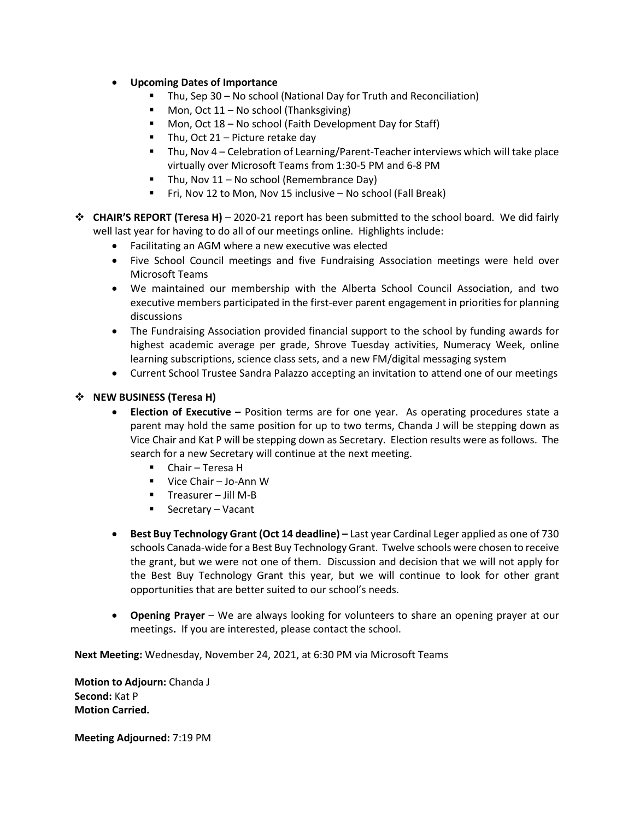- **Upcoming Dates of Importance**
	- Thu, Sep 30 No school (National Day for Truth and Reconciliation)
	- Mon, Oct  $11 No$  school (Thanksgiving)
	- Mon, Oct 18 No school (Faith Development Day for Staff)
	- $\blacksquare$  Thu, Oct 21 Picture retake day
	- Thu, Nov 4 Celebration of Learning/Parent-Teacher interviews which will take place virtually over Microsoft Teams from 1:30-5 PM and 6-8 PM
	- $\blacksquare$  Thu, Nov 11 No school (Remembrance Day)
	- Fri, Nov 12 to Mon, Nov 15 inclusive No school (Fall Break)
- **CHAIR'S REPORT (Teresa H)** 2020-21 report has been submitted to the school board. We did fairly well last year for having to do all of our meetings online. Highlights include:
	- Facilitating an AGM where a new executive was elected
	- Five School Council meetings and five Fundraising Association meetings were held over Microsoft Teams
	- We maintained our membership with the Alberta School Council Association, and two executive members participated in the first-ever parent engagement in priorities for planning discussions
	- The Fundraising Association provided financial support to the school by funding awards for highest academic average per grade, Shrove Tuesday activities, Numeracy Week, online learning subscriptions, science class sets, and a new FM/digital messaging system
	- Current School Trustee Sandra Palazzo accepting an invitation to attend one of our meetings

#### **NEW BUSINESS (Teresa H)**

- **Election of Executive –** Position terms are for one year. As operating procedures state a parent may hold the same position for up to two terms, Chanda J will be stepping down as Vice Chair and Kat P will be stepping down as Secretary. Election results were as follows. The search for a new Secretary will continue at the next meeting.
	- Chair Teresa H
	- Vice Chair Jo-Ann W
	- $\blacksquare$  Treasurer Jill M-B
	- Secretary Vacant
- **Best Buy Technology Grant (Oct 14 deadline) –** Last year Cardinal Leger applied as one of 730 schools Canada-wide for a Best Buy Technology Grant. Twelve schools were chosen to receive the grant, but we were not one of them. Discussion and decision that we will not apply for the Best Buy Technology Grant this year, but we will continue to look for other grant opportunities that are better suited to our school's needs.
- **Opening Prayer**  We are always looking for volunteers to share an opening prayer at our meetings**.** If you are interested, please contact the school.

**Next Meeting:** Wednesday, November 24, 2021, at 6:30 PM via Microsoft Teams

**Motion to Adjourn:** Chanda J **Second:** Kat P **Motion Carried.** 

**Meeting Adjourned:** 7:19 PM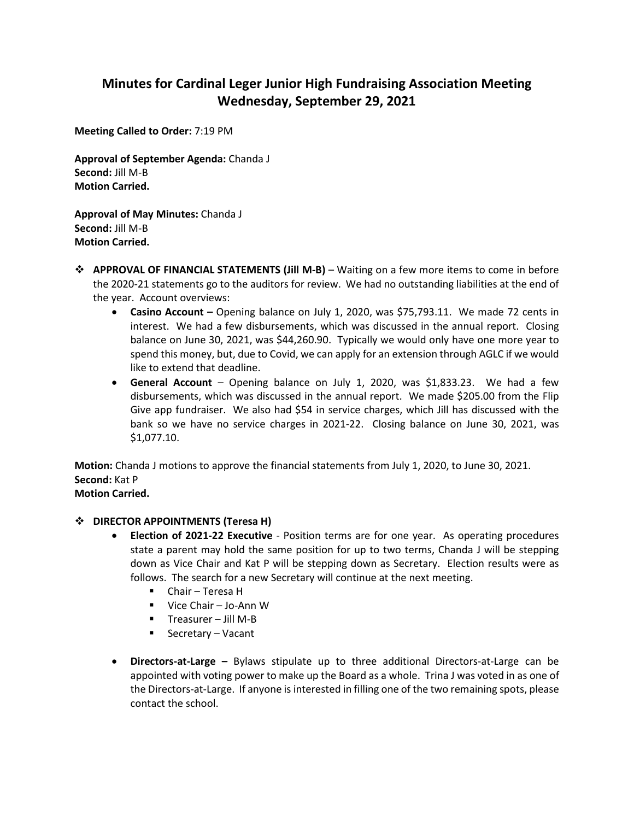# **Minutes for Cardinal Leger Junior High Fundraising Association Meeting Wednesday, September 29, 2021**

**Meeting Called to Order:** 7:19 PM

**Approval of September Agenda:** Chanda J **Second:** Jill M-B **Motion Carried.**

**Approval of May Minutes:** Chanda J **Second:** Jill M-B **Motion Carried.**

- **APPROVAL OF FINANCIAL STATEMENTS (Jill M-B)** Waiting on a few more items to come in before the 2020-21 statements go to the auditors for review. We had no outstanding liabilities at the end of the year. Account overviews:
	- **Casino Account –** Opening balance on July 1, 2020, was \$75,793.11. We made 72 cents in interest. We had a few disbursements, which was discussed in the annual report. Closing balance on June 30, 2021, was \$44,260.90. Typically we would only have one more year to spend this money, but, due to Covid, we can apply for an extension through AGLC if we would like to extend that deadline.
	- **General Account** Opening balance on July 1, 2020, was \$1,833.23. We had a few disbursements, which was discussed in the annual report. We made \$205.00 from the Flip Give app fundraiser. We also had \$54 in service charges, which Jill has discussed with the bank so we have no service charges in 2021-22. Closing balance on June 30, 2021, was \$1,077.10.

**Motion:** Chanda J motions to approve the financial statements from July 1, 2020, to June 30, 2021. **Second:** Kat P **Motion Carried.**

#### $\div$  DIRECTOR APPOINTMENTS (Teresa H)

- **Election of 2021-22 Executive** Position terms are for one year. As operating procedures state a parent may hold the same position for up to two terms, Chanda J will be stepping down as Vice Chair and Kat P will be stepping down as Secretary. Election results were as follows. The search for a new Secretary will continue at the next meeting.
	- Chair Teresa H
	- Vice Chair Jo-Ann W
	- $\blacksquare$  Treasurer Jill M-B
	- Secretary Vacant
- **Directors-at-Large –** Bylaws stipulate up to three additional Directors-at-Large can be appointed with voting power to make up the Board as a whole. Trina J was voted in as one of the Directors-at-Large. If anyone is interested in filling one of the two remaining spots, please contact the school.